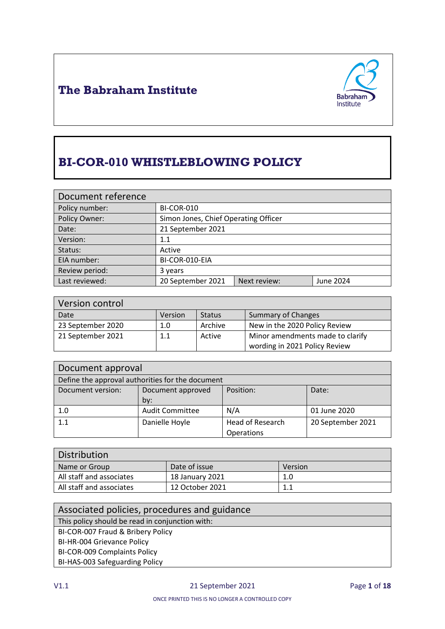



# **BI-COR-010 WHISTLEBLOWING POLICY**

| Document reference |                                      |              |           |
|--------------------|--------------------------------------|--------------|-----------|
| Policy number:     | <b>BI-COR-010</b>                    |              |           |
| Policy Owner:      | Simon Jones, Chief Operating Officer |              |           |
| Date:              | 21 September 2021                    |              |           |
| Version:           | $1.1\,$                              |              |           |
| Status:            | Active                               |              |           |
| EIA number:        | BI-COR-010-EIA                       |              |           |
| Review period:     | 3 years                              |              |           |
| Last reviewed:     | 20 September 2021                    | Next review: | June 2024 |

| Version control   |         |               |                                  |
|-------------------|---------|---------------|----------------------------------|
| Date              | Version | <b>Status</b> | <b>Summary of Changes</b>        |
| 23 September 2020 | 1.0     | Archive       | New in the 2020 Policy Review    |
| 21 September 2021 | 1.1     | Active        | Minor amendments made to clarify |
|                   |         |               | wording in 2021 Policy Review    |

| Document approval                                |                        |                  |                   |
|--------------------------------------------------|------------------------|------------------|-------------------|
| Define the approval authorities for the document |                        |                  |                   |
| Document version:                                | Document approved      | Position:        | Date:             |
|                                                  | by:                    |                  |                   |
| 1.0                                              | <b>Audit Committee</b> | N/A              | 01 June 2020      |
| 1.1                                              | Danielle Hoyle         | Head of Research | 20 September 2021 |
|                                                  |                        | Operations       |                   |

| Distribution             |                 |         |
|--------------------------|-----------------|---------|
| Name or Group            | Date of issue   | Version |
| All staff and associates | 18 January 2021 | 1.0     |
| All staff and associates | 12 October 2021 |         |

| Associated policies, procedures and guidance    |  |  |
|-------------------------------------------------|--|--|
| This policy should be read in conjunction with: |  |  |
| BI-COR-007 Fraud & Bribery Policy               |  |  |
| BI-HR-004 Grievance Policy                      |  |  |
| BI-COR-009 Complaints Policy                    |  |  |
| BI-HAS-003 Safeguarding Policy                  |  |  |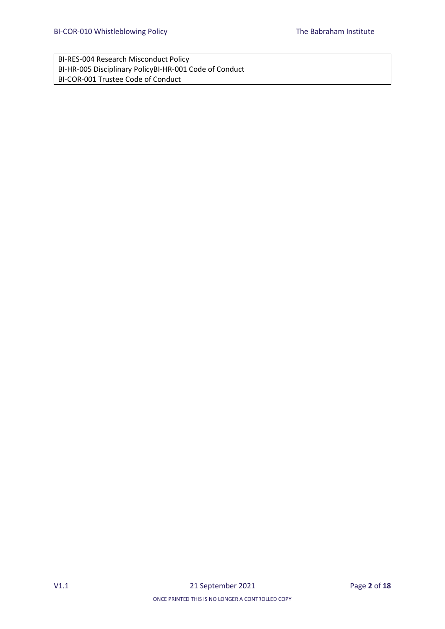BI-RES-004 Research Misconduct Policy BI-HR-005 Disciplinary PolicyBI-HR-001 Code of Conduct BI-COR-001 Trustee Code of Conduct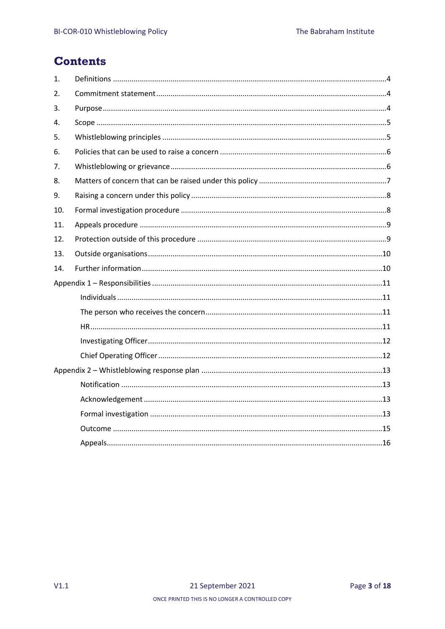## **Contents**

| $\mathbf{1}$ .   |  |
|------------------|--|
| $\overline{2}$ . |  |
| 3.               |  |
| 4.               |  |
| 5.               |  |
| 6.               |  |
| 7.               |  |
| 8.               |  |
| 9.               |  |
| 10.              |  |
| 11.              |  |
| 12.              |  |
| 13.              |  |
|                  |  |
| 14.              |  |
|                  |  |
|                  |  |
|                  |  |
|                  |  |
|                  |  |
|                  |  |
|                  |  |
|                  |  |
|                  |  |
|                  |  |
|                  |  |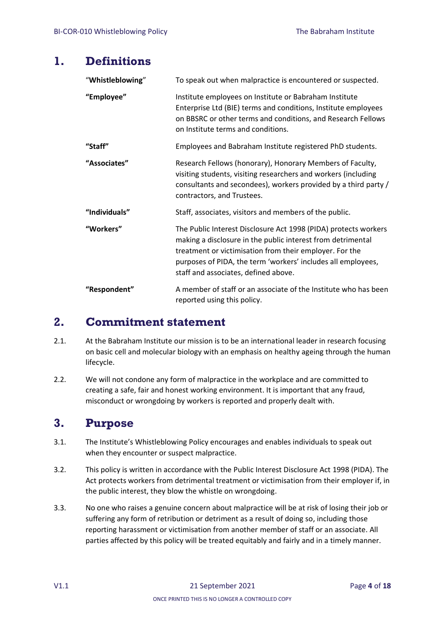### <span id="page-3-0"></span>**1. Definitions**

| "Whistleblowing" | To speak out when malpractice is encountered or suspected.                                                                                                                                                                                                                                        |
|------------------|---------------------------------------------------------------------------------------------------------------------------------------------------------------------------------------------------------------------------------------------------------------------------------------------------|
| "Employee"       | Institute employees on Institute or Babraham Institute<br>Enterprise Ltd (BIE) terms and conditions, Institute employees<br>on BBSRC or other terms and conditions, and Research Fellows<br>on Institute terms and conditions.                                                                    |
| "Staff"          | Employees and Babraham Institute registered PhD students.                                                                                                                                                                                                                                         |
| "Associates"     | Research Fellows (honorary), Honorary Members of Faculty,<br>visiting students, visiting researchers and workers (including<br>consultants and secondees), workers provided by a third party /<br>contractors, and Trustees.                                                                      |
| "Individuals"    | Staff, associates, visitors and members of the public.                                                                                                                                                                                                                                            |
| "Workers"        | The Public Interest Disclosure Act 1998 (PIDA) protects workers<br>making a disclosure in the public interest from detrimental<br>treatment or victimisation from their employer. For the<br>purposes of PIDA, the term 'workers' includes all employees,<br>staff and associates, defined above. |
| "Respondent"     | A member of staff or an associate of the Institute who has been<br>reported using this policy.                                                                                                                                                                                                    |

### <span id="page-3-1"></span>**2. Commitment statement**

- 2.1. At the Babraham Institute our mission is to be an international leader in research focusing on basic cell and molecular biology with an emphasis on healthy ageing through the human lifecycle.
- 2.2. We will not condone any form of malpractice in the workplace and are committed to creating a safe, fair and honest working environment. It is important that any fraud, misconduct or wrongdoing by workers is reported and properly dealt with.

## <span id="page-3-2"></span>**3. Purpose**

- 3.1. The Institute's Whistleblowing Policy encourages and enables individuals to speak out when they encounter or suspect malpractice.
- 3.2. This policy is written in accordance with the Public Interest Disclosure Act 1998 (PIDA). The Act protects workers from detrimental treatment or victimisation from their employer if, in the public interest, they blow the whistle on wrongdoing.
- 3.3. No one who raises a genuine concern about malpractice will be at risk of losing their job or suffering any form of retribution or detriment as a result of doing so, including those reporting harassment or victimisation from another member of staff or an associate. All parties affected by this policy will be treated equitably and fairly and in a timely manner.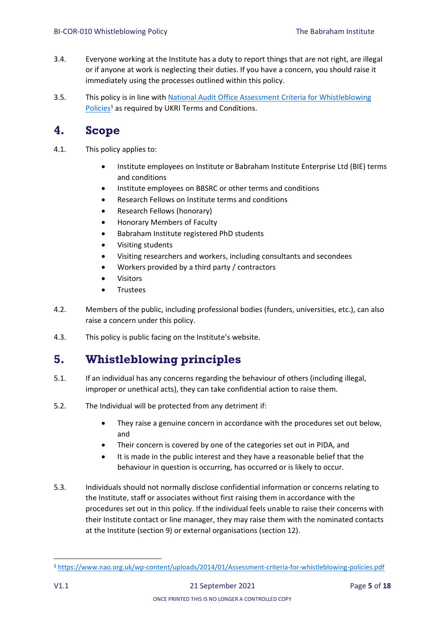- 3.4. Everyone working at the Institute has a duty to report things that are not right, are illegal or if anyone at work is neglecting their duties. If you have a concern, you should raise it immediately using the processes outlined within this policy.
- 3.5. This policy is in line with [National Audit Office Assessment Criteria for Whistleblowing](https://www.nao.org.uk/wp-content/uploads/2014/01/Assessment-criteria-for-whistleblowing-policies.pdf)  [Policies](https://www.nao.org.uk/wp-content/uploads/2014/01/Assessment-criteria-for-whistleblowing-policies.pdf)<sup>1</sup> as required by UKRI Terms and Conditions.

## <span id="page-4-0"></span>**4. Scope**

- 4.1. This policy applies to:
	- Institute employees on Institute or Babraham Institute Enterprise Ltd (BIE) terms and conditions
	- Institute employees on BBSRC or other terms and conditions
	- Research Fellows on Institute terms and conditions
	- Research Fellows (honorary)
	- Honorary Members of Faculty
	- Babraham Institute registered PhD students
	- Visiting students
	- Visiting researchers and workers, including consultants and secondees
	- Workers provided by a third party / contractors
	- Visitors
	- Trustees
- 4.2. Members of the public, including professional bodies (funders, universities, etc.), can also raise a concern under this policy.
- 4.3. This policy is public facing on the Institute's website.

## <span id="page-4-1"></span>**5. Whistleblowing principles**

- 5.1. If an individual has any concerns regarding the behaviour of others (including illegal, improper or unethical acts), they can take confidential action to raise them.
- 5.2. The Individual will be protected from any detriment if:
	- They raise a genuine concern in accordance with the procedures set out below, and
	- Their concern is covered by one of the categories set out in PIDA, and
	- It is made in the public interest and they have a reasonable belief that the behaviour in question is occurring, has occurred or is likely to occur.
- 5.3. Individuals should not normally disclose confidential information or concerns relating to the Institute, staff or associates without first raising them in accordance with the procedures set out in this policy. If the individual feels unable to raise their concerns with their Institute contact or line manager, they may raise them with the nominated contacts at the Institute (section 9) or external organisations (section 12).

<sup>1</sup> <https://www.nao.org.uk/wp-content/uploads/2014/01/Assessment-criteria-for-whistleblowing-policies.pdf>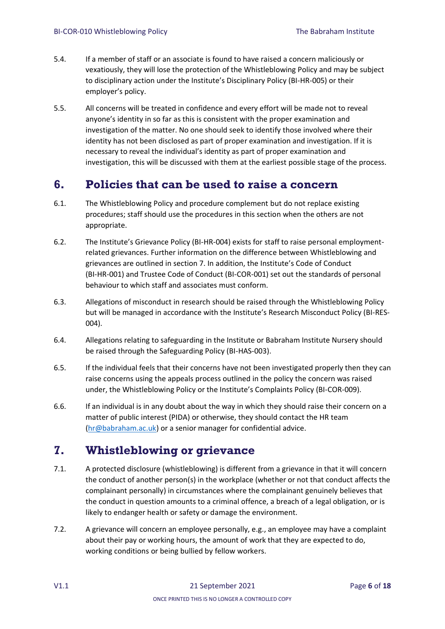- 5.4. If a member of staff or an associate is found to have raised a concern maliciously or vexatiously, they will lose the protection of the Whistleblowing Policy and may be subject to disciplinary action under the Institute's Disciplinary Policy (BI-HR-005) or their employer's policy.
- 5.5. All concerns will be treated in confidence and every effort will be made not to reveal anyone's identity in so far as this is consistent with the proper examination and investigation of the matter. No one should seek to identify those involved where their identity has not been disclosed as part of proper examination and investigation. If it is necessary to reveal the individual's identity as part of proper examination and investigation, this will be discussed with them at the earliest possible stage of the process.

## <span id="page-5-0"></span>**6. Policies that can be used to raise a concern**

- 6.1. The Whistleblowing Policy and procedure complement but do not replace existing procedures; staff should use the procedures in this section when the others are not appropriate.
- 6.2. The Institute's Grievance Policy (BI-HR-004) exists for staff to raise personal employmentrelated grievances. Further information on the difference between Whistleblowing and grievances are outlined in section 7. In addition, the Institute's Code of Conduct (BI-HR-001) and Trustee Code of Conduct (BI-COR-001) set out the standards of personal behaviour to which staff and associates must conform.
- 6.3. Allegations of misconduct in research should be raised through the Whistleblowing Policy but will be managed in accordance with the Institute's Research Misconduct Policy (BI-RES-004).
- 6.4. Allegations relating to safeguarding in the Institute or Babraham Institute Nursery should be raised through the Safeguarding Policy (BI-HAS-003).
- 6.5. If the individual feels that their concerns have not been investigated properly then they can raise concerns using the appeals process outlined in the policy the concern was raised under, the Whistleblowing Policy or the Institute's Complaints Policy (BI-COR-009).
- 6.6. If an individual is in any doubt about the way in which they should raise their concern on a matter of public interest (PIDA) or otherwise, they should contact the HR team [\(hr@babraham.ac.uk\)](mailto:hr@babraham.ac.uk) or a senior manager for confidential advice.

## <span id="page-5-1"></span>**7. Whistleblowing or grievance**

- 7.1. A protected disclosure (whistleblowing) is different from a grievance in that it will concern the conduct of another person(s) in the workplace (whether or not that conduct affects the complainant personally) in circumstances where the complainant genuinely believes that the conduct in question amounts to a criminal offence, a breach of a legal obligation, or is likely to endanger health or safety or damage the environment.
- 7.2. A grievance will concern an employee personally, e.g., an employee may have a complaint about their pay or working hours, the amount of work that they are expected to do, working conditions or being bullied by fellow workers.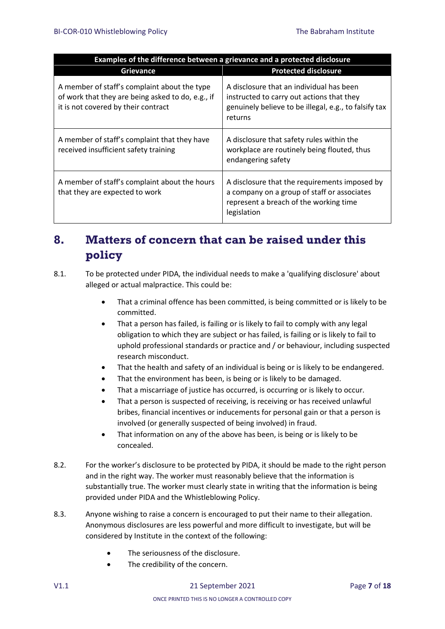| Examples of the difference between a grievance and a protected disclosure                                                                |                                                                                                                                                           |  |
|------------------------------------------------------------------------------------------------------------------------------------------|-----------------------------------------------------------------------------------------------------------------------------------------------------------|--|
| <b>Grievance</b>                                                                                                                         | <b>Protected disclosure</b>                                                                                                                               |  |
| A member of staff's complaint about the type<br>of work that they are being asked to do, e.g., if<br>it is not covered by their contract | A disclosure that an individual has been<br>instructed to carry out actions that they<br>genuinely believe to be illegal, e.g., to falsify tax<br>returns |  |
| A member of staff's complaint that they have<br>received insufficient safety training                                                    | A disclosure that safety rules within the<br>workplace are routinely being flouted, thus<br>endangering safety                                            |  |
| A member of staff's complaint about the hours<br>that they are expected to work                                                          | A disclosure that the requirements imposed by<br>a company on a group of staff or associates<br>represent a breach of the working time<br>legislation     |  |

## <span id="page-6-0"></span>**8. Matters of concern that can be raised under this policy**

- 8.1. To be protected under PIDA, the individual needs to make a 'qualifying disclosure' about alleged or actual malpractice. This could be:
	- That a criminal offence has been committed, is being committed or is likely to be committed.
	- That a person has failed, is failing or is likely to fail to comply with any legal obligation to which they are subject or has failed, is failing or is likely to fail to uphold professional standards or practice and / or behaviour, including suspected research misconduct.
	- That the health and safety of an individual is being or is likely to be endangered.
	- That the environment has been, is being or is likely to be damaged.
	- That a miscarriage of justice has occurred, is occurring or is likely to occur.
	- That a person is suspected of receiving, is receiving or has received unlawful bribes, financial incentives or inducements for personal gain or that a person is involved (or generally suspected of being involved) in fraud.
	- That information on any of the above has been, is being or is likely to be concealed.
- 8.2. For the worker's disclosure to be protected by PIDA, it should be made to the right person and in the right way. The worker must reasonably believe that the information is substantially true. The worker must clearly state in writing that the information is being provided under PIDA and the Whistleblowing Policy.
- 8.3. Anyone wishing to raise a concern is encouraged to put their name to their allegation. Anonymous disclosures are less powerful and more difficult to investigate, but will be considered by Institute in the context of the following:
	- The seriousness of the disclosure.
	- The credibility of the concern.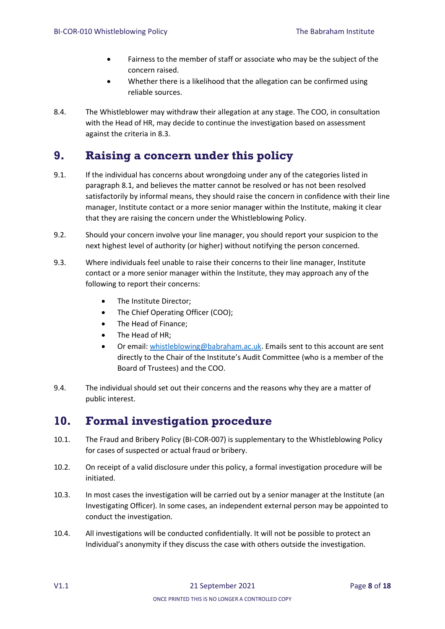- Fairness to the member of staff or associate who may be the subject of the concern raised.
- Whether there is a likelihood that the allegation can be confirmed using reliable sources.
- 8.4. The Whistleblower may withdraw their allegation at any stage. The COO, in consultation with the Head of HR, may decide to continue the investigation based on assessment against the criteria in 8.3.

## <span id="page-7-0"></span>**9. Raising a concern under this policy**

- 9.1. If the individual has concerns about wrongdoing under any of the categories listed in paragraph 8.1, and believes the matter cannot be resolved or has not been resolved satisfactorily by informal means, they should raise the concern in confidence with their line manager, Institute contact or a more senior manager within the Institute, making it clear that they are raising the concern under the Whistleblowing Policy.
- 9.2. Should your concern involve your line manager, you should report your suspicion to the next highest level of authority (or higher) without notifying the person concerned.
- 9.3. Where individuals feel unable to raise their concerns to their line manager, Institute contact or a more senior manager within the Institute, they may approach any of the following to report their concerns:
	- The Institute Director;
	- The Chief Operating Officer (COO);
	- The Head of Finance;
	- The Head of HR:
	- Or email: [whistleblowing@babraham.ac.uk.](mailto:whistleblowing@babraham.ac.uk) Emails sent to this account are sent directly to the Chair of the Institute's Audit Committee (who is a member of the Board of Trustees) and the COO.
- 9.4. The individual should set out their concerns and the reasons why they are a matter of public interest.

## <span id="page-7-1"></span>**10. Formal investigation procedure**

- 10.1. The Fraud and Bribery Policy (BI-COR-007) is supplementary to the Whistleblowing Policy for cases of suspected or actual fraud or bribery.
- 10.2. On receipt of a valid disclosure under this policy, a formal investigation procedure will be initiated.
- 10.3. In most cases the investigation will be carried out by a senior manager at the Institute (an Investigating Officer). In some cases, an independent external person may be appointed to conduct the investigation.
- 10.4. All investigations will be conducted confidentially. It will not be possible to protect an Individual's anonymity if they discuss the case with others outside the investigation.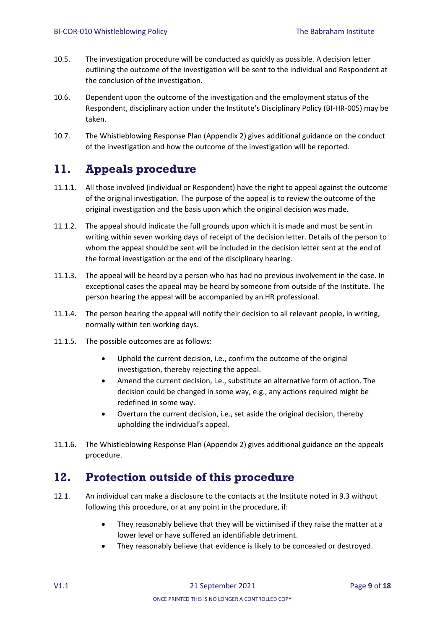- 10.5. The investigation procedure will be conducted as quickly as possible. A decision letter outlining the outcome of the investigation will be sent to the individual and Respondent at the conclusion of the investigation.
- 10.6. Dependent upon the outcome of the investigation and the employment status of the Respondent, disciplinary action under the Institute's Disciplinary Policy (BI-HR-005) may be taken.
- 10.7. The Whistleblowing Response Plan (Appendix 2) gives additional guidance on the conduct of the investigation and how the outcome of the investigation will be reported.

## <span id="page-8-0"></span>**11. Appeals procedure**

- 11.1.1. All those involved (individual or Respondent) have the right to appeal against the outcome of the original investigation. The purpose of the appeal is to review the outcome of the original investigation and the basis upon which the original decision was made.
- 11.1.2. The appeal should indicate the full grounds upon which it is made and must be sent in writing within seven working days of receipt of the decision letter. Details of the person to whom the appeal should be sent will be included in the decision letter sent at the end of the formal investigation or the end of the disciplinary hearing.
- 11.1.3. The appeal will be heard by a person who has had no previous involvement in the case. In exceptional cases the appeal may be heard by someone from outside of the Institute. The person hearing the appeal will be accompanied by an HR professional.
- 11.1.4. The person hearing the appeal will notify their decision to all relevant people, in writing, normally within ten working days.
- 11.1.5. The possible outcomes are as follows:
	- Uphold the current decision, i.e., confirm the outcome of the original investigation, thereby rejecting the appeal.
	- Amend the current decision, i.e., substitute an alternative form of action. The decision could be changed in some way, e.g., any actions required might be redefined in some way.
	- Overturn the current decision, i.e., set aside the original decision, thereby upholding the individual's appeal.
- 11.1.6. The Whistleblowing Response Plan (Appendix 2) gives additional guidance on the appeals procedure.

## <span id="page-8-1"></span>**12. Protection outside of this procedure**

- 12.1. An individual can make a disclosure to the contacts at the Institute noted in 9.3 without following this procedure, or at any point in the procedure, if:
	- They reasonably believe that they will be victimised if they raise the matter at a lower level or have suffered an identifiable detriment.
	- They reasonably believe that evidence is likely to be concealed or destroyed.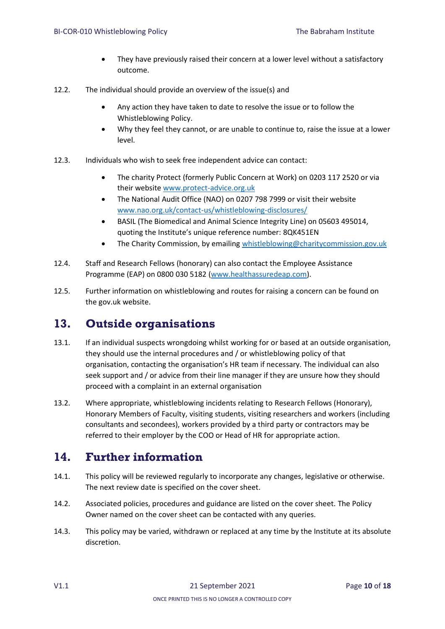- They have previously raised their concern at a lower level without a satisfactory outcome.
- 12.2. The individual should provide an overview of the issue(s) and
	- Any action they have taken to date to resolve the issue or to follow the Whistleblowing Policy.
	- Why they feel they cannot, or are unable to continue to, raise the issue at a lower level.
- 12.3. Individuals who wish to seek free independent advice can contact:
	- The charity Protect (formerly Public Concern at Work) on 0203 117 2520 or via their website [www.protect-advice.org.uk](http://www.protect-advice.org.uk/)
	- The National Audit Office (NAO) on 0207 798 7999 or visit their website [www.nao.org.uk/contact-us/whistleblowing-disclosures/](http://www.nao.org.uk/contact-us/whistleblowing-disclosures/)
	- BASIL (The Biomedical and Animal Science Integrity Line) on 05603 495014, quoting the Institute's unique reference number: 8QK451EN
	- The Charity Commission, by emailing [whistleblowing@charitycommission.gov.uk](mailto:whistleblowing@charitycommission.gov.uk)
- 12.4. Staff and Research Fellows (honorary) can also contact the Employee Assistance Programme (EAP) on 0800 030 5182 [\(www.healthassuredeap.com\)](http://www.healthassuredeap.com/).
- 12.5. Further information on whistleblowing and routes for raising a concern can be found on the gov.uk website.

## <span id="page-9-0"></span>**13. Outside organisations**

- 13.1. If an individual suspects wrongdoing whilst working for or based at an outside organisation, they should use the internal procedures and / or whistleblowing policy of that organisation, contacting the organisation's HR team if necessary. The individual can also seek support and / or advice from their line manager if they are unsure how they should proceed with a complaint in an external organisation
- 13.2. Where appropriate, whistleblowing incidents relating to Research Fellows (Honorary), Honorary Members of Faculty, visiting students, visiting researchers and workers (including consultants and secondees), workers provided by a third party or contractors may be referred to their employer by the COO or Head of HR for appropriate action.

## <span id="page-9-1"></span>**14. Further information**

- 14.1. This policy will be reviewed regularly to incorporate any changes, legislative or otherwise. The next review date is specified on the cover sheet.
- 14.2. Associated policies, procedures and guidance are listed on the cover sheet. The Policy Owner named on the cover sheet can be contacted with any queries.
- 14.3. This policy may be varied, withdrawn or replaced at any time by the Institute at its absolute discretion.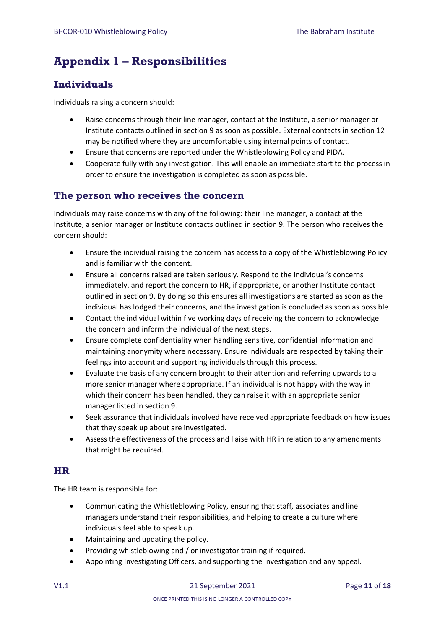## <span id="page-10-0"></span>**Appendix 1 – Responsibilities**

## <span id="page-10-1"></span>**Individuals**

Individuals raising a concern should:

- Raise concerns through their line manager, contact at the Institute, a senior manager or Institute contacts outlined in section 9 as soon as possible. External contacts in section 12 may be notified where they are uncomfortable using internal points of contact.
- Ensure that concerns are reported under the Whistleblowing Policy and PIDA.
- Cooperate fully with any investigation. This will enable an immediate start to the process in order to ensure the investigation is completed as soon as possible.

### <span id="page-10-2"></span>**The person who receives the concern**

Individuals may raise concerns with any of the following: their line manager, a contact at the Institute, a senior manager or Institute contacts outlined in section 9. The person who receives the concern should:

- Ensure the individual raising the concern has access to a copy of the Whistleblowing Policy and is familiar with the content.
- Ensure all concerns raised are taken seriously. Respond to the individual's concerns immediately, and report the concern to HR, if appropriate, or another Institute contact outlined in section 9. By doing so this ensures all investigations are started as soon as the individual has lodged their concerns, and the investigation is concluded as soon as possible
- Contact the individual within five working days of receiving the concern to acknowledge the concern and inform the individual of the next steps.
- Ensure complete confidentiality when handling sensitive, confidential information and maintaining anonymity where necessary. Ensure individuals are respected by taking their feelings into account and supporting individuals through this process.
- Evaluate the basis of any concern brought to their attention and referring upwards to a more senior manager where appropriate. If an individual is not happy with the way in which their concern has been handled, they can raise it with an appropriate senior manager listed in section 9.
- Seek assurance that individuals involved have received appropriate feedback on how issues that they speak up about are investigated.
- Assess the effectiveness of the process and liaise with HR in relation to any amendments that might be required.

### <span id="page-10-3"></span>**HR**

The HR team is responsible for:

- Communicating the Whistleblowing Policy, ensuring that staff, associates and line managers understand their responsibilities, and helping to create a culture where individuals feel able to speak up.
- Maintaining and updating the policy.
- Providing whistleblowing and / or investigator training if required.
- Appointing Investigating Officers, and supporting the investigation and any appeal.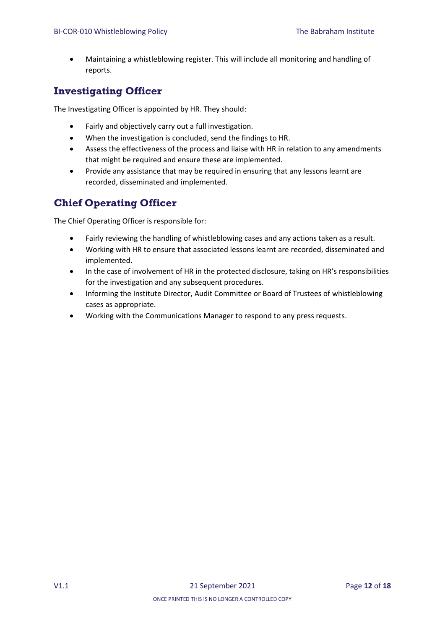• Maintaining a whistleblowing register. This will include all monitoring and handling of reports.

## <span id="page-11-0"></span>**Investigating Officer**

The Investigating Officer is appointed by HR. They should:

- Fairly and objectively carry out a full investigation.
- When the investigation is concluded, send the findings to HR.
- Assess the effectiveness of the process and liaise with HR in relation to any amendments that might be required and ensure these are implemented.
- Provide any assistance that may be required in ensuring that any lessons learnt are recorded, disseminated and implemented.

## <span id="page-11-1"></span>**Chief Operating Officer**

The Chief Operating Officer is responsible for:

- Fairly reviewing the handling of whistleblowing cases and any actions taken as a result.
- Working with HR to ensure that associated lessons learnt are recorded, disseminated and implemented.
- In the case of involvement of HR in the protected disclosure, taking on HR's responsibilities for the investigation and any subsequent procedures.
- Informing the Institute Director, Audit Committee or Board of Trustees of whistleblowing cases as appropriate.
- Working with the Communications Manager to respond to any press requests.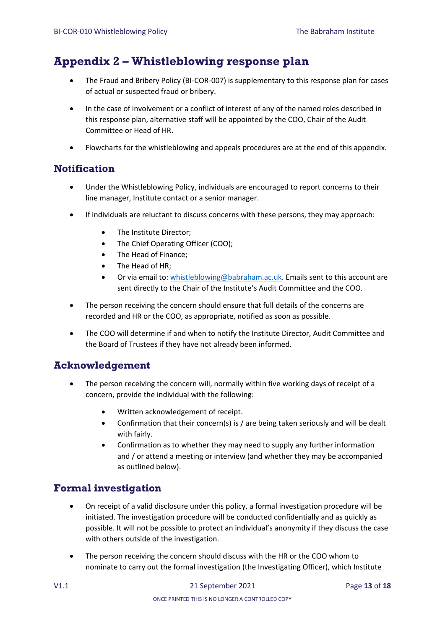## <span id="page-12-0"></span>**Appendix 2 – Whistleblowing response plan**

- The Fraud and Bribery Policy (BI-COR-007) is supplementary to this response plan for cases of actual or suspected fraud or bribery.
- In the case of involvement or a conflict of interest of any of the named roles described in this response plan, alternative staff will be appointed by the COO, Chair of the Audit Committee or Head of HR.
- Flowcharts for the whistleblowing and appeals procedures are at the end of this appendix.

### <span id="page-12-1"></span>**Notification**

- Under the Whistleblowing Policy, individuals are encouraged to report concerns to their line manager, Institute contact or a senior manager.
- If individuals are reluctant to discuss concerns with these persons, they may approach:
	- The Institute Director;
	- The Chief Operating Officer (COO);
	- The Head of Finance;
	- The Head of HR;
	- Or via email to: [whistleblowing@babraham.ac.uk.](mailto:whistleblowing@babraham.ac.uk) Emails sent to this account are sent directly to the Chair of the Institute's Audit Committee and the COO.
- The person receiving the concern should ensure that full details of the concerns are recorded and HR or the COO, as appropriate, notified as soon as possible.
- The COO will determine if and when to notify the Institute Director, Audit Committee and the Board of Trustees if they have not already been informed.

### <span id="page-12-2"></span>**Acknowledgement**

- The person receiving the concern will, normally within five working days of receipt of a concern, provide the individual with the following:
	- Written acknowledgement of receipt.
	- Confirmation that their concern(s) is / are being taken seriously and will be dealt with fairly.
	- Confirmation as to whether they may need to supply any further information and / or attend a meeting or interview (and whether they may be accompanied as outlined below).

### <span id="page-12-3"></span>**Formal investigation**

- On receipt of a valid disclosure under this policy, a formal investigation procedure will be initiated. The investigation procedure will be conducted confidentially and as quickly as possible. It will not be possible to protect an individual's anonymity if they discuss the case with others outside of the investigation.
- The person receiving the concern should discuss with the HR or the COO whom to nominate to carry out the formal investigation (the Investigating Officer), which Institute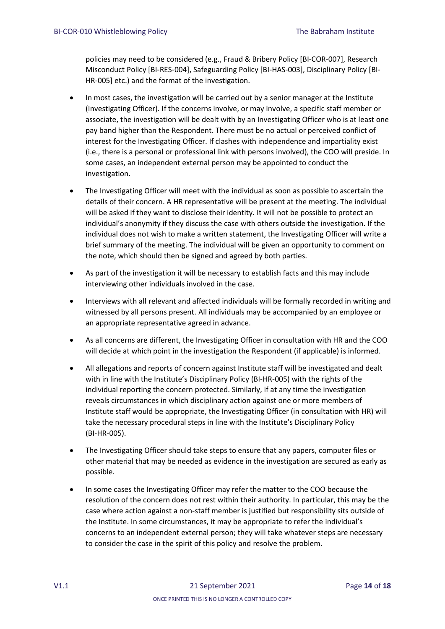policies may need to be considered (e.g., Fraud & Bribery Policy [BI-COR-007], Research Misconduct Policy [BI-RES-004], Safeguarding Policy [BI-HAS-003], Disciplinary Policy [BI-HR-005] etc.) and the format of the investigation.

- In most cases, the investigation will be carried out by a senior manager at the Institute (Investigating Officer). If the concerns involve, or may involve, a specific staff member or associate, the investigation will be dealt with by an Investigating Officer who is at least one pay band higher than the Respondent. There must be no actual or perceived conflict of interest for the Investigating Officer. If clashes with independence and impartiality exist (i.e., there is a personal or professional link with persons involved), the COO will preside. In some cases, an independent external person may be appointed to conduct the investigation.
- The Investigating Officer will meet with the individual as soon as possible to ascertain the details of their concern. A HR representative will be present at the meeting. The individual will be asked if they want to disclose their identity. It will not be possible to protect an individual's anonymity if they discuss the case with others outside the investigation. If the individual does not wish to make a written statement, the Investigating Officer will write a brief summary of the meeting. The individual will be given an opportunity to comment on the note, which should then be signed and agreed by both parties.
- As part of the investigation it will be necessary to establish facts and this may include interviewing other individuals involved in the case.
- Interviews with all relevant and affected individuals will be formally recorded in writing and witnessed by all persons present. All individuals may be accompanied by an employee or an appropriate representative agreed in advance.
- As all concerns are different, the Investigating Officer in consultation with HR and the COO will decide at which point in the investigation the Respondent (if applicable) is informed.
- All allegations and reports of concern against Institute staff will be investigated and dealt with in line with the Institute's Disciplinary Policy (BI-HR-005) with the rights of the individual reporting the concern protected. Similarly, if at any time the investigation reveals circumstances in which disciplinary action against one or more members of Institute staff would be appropriate, the Investigating Officer (in consultation with HR) will take the necessary procedural steps in line with the Institute's Disciplinary Policy (BI-HR-005).
- The Investigating Officer should take steps to ensure that any papers, computer files or other material that may be needed as evidence in the investigation are secured as early as possible.
- In some cases the Investigating Officer may refer the matter to the COO because the resolution of the concern does not rest within their authority. In particular, this may be the case where action against a non-staff member is justified but responsibility sits outside of the Institute. In some circumstances, it may be appropriate to refer the individual's concerns to an independent external person; they will take whatever steps are necessary to consider the case in the spirit of this policy and resolve the problem.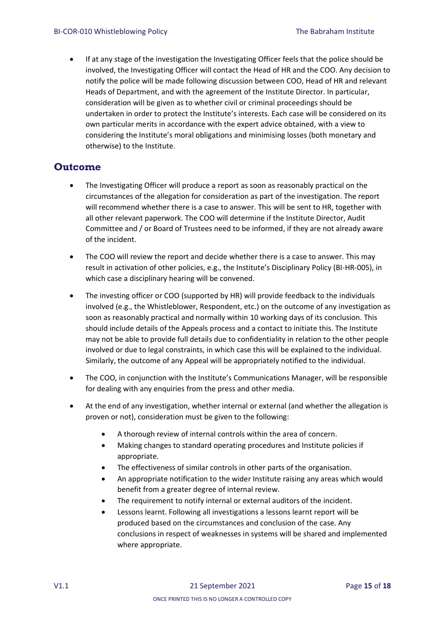• If at any stage of the investigation the Investigating Officer feels that the police should be involved, the Investigating Officer will contact the Head of HR and the COO. Any decision to notify the police will be made following discussion between COO, Head of HR and relevant Heads of Department, and with the agreement of the Institute Director. In particular, consideration will be given as to whether civil or criminal proceedings should be undertaken in order to protect the Institute's interests. Each case will be considered on its own particular merits in accordance with the expert advice obtained, with a view to considering the Institute's moral obligations and minimising losses (both monetary and otherwise) to the Institute.

#### <span id="page-14-0"></span>**Outcome**

- The Investigating Officer will produce a report as soon as reasonably practical on the circumstances of the allegation for consideration as part of the investigation. The report will recommend whether there is a case to answer. This will be sent to HR, together with all other relevant paperwork. The COO will determine if the Institute Director, Audit Committee and / or Board of Trustees need to be informed, if they are not already aware of the incident.
- The COO will review the report and decide whether there is a case to answer. This may result in activation of other policies, e.g., the Institute's Disciplinary Policy (BI-HR-005), in which case a disciplinary hearing will be convened.
- The investing officer or COO (supported by HR) will provide feedback to the individuals involved (e.g., the Whistleblower, Respondent, etc.) on the outcome of any investigation as soon as reasonably practical and normally within 10 working days of its conclusion. This should include details of the Appeals process and a contact to initiate this. The Institute may not be able to provide full details due to confidentiality in relation to the other people involved or due to legal constraints, in which case this will be explained to the individual. Similarly, the outcome of any Appeal will be appropriately notified to the individual.
- The COO, in conjunction with the Institute's Communications Manager, will be responsible for dealing with any enquiries from the press and other media.
- At the end of any investigation, whether internal or external (and whether the allegation is proven or not), consideration must be given to the following:
	- A thorough review of internal controls within the area of concern.
	- Making changes to standard operating procedures and Institute policies if appropriate.
	- The effectiveness of similar controls in other parts of the organisation.
	- An appropriate notification to the wider Institute raising any areas which would benefit from a greater degree of internal review.
	- The requirement to notify internal or external auditors of the incident.
	- Lessons learnt. Following all investigations a lessons learnt report will be produced based on the circumstances and conclusion of the case. Any conclusions in respect of weaknesses in systems will be shared and implemented where appropriate.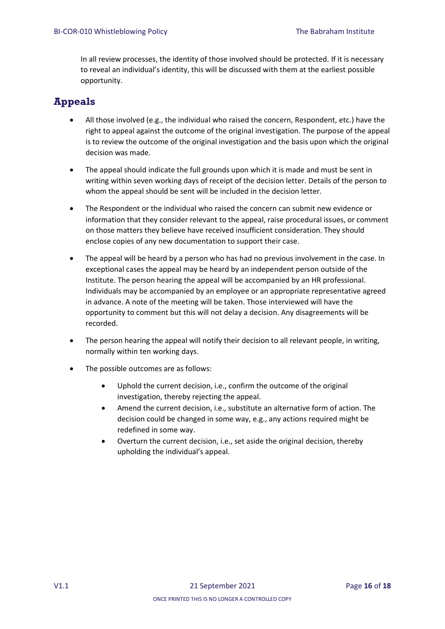In all review processes, the identity of those involved should be protected. If it is necessary to reveal an individual's identity, this will be discussed with them at the earliest possible opportunity.

## <span id="page-15-0"></span>**Appeals**

- All those involved (e.g., the individual who raised the concern, Respondent, etc.) have the right to appeal against the outcome of the original investigation. The purpose of the appeal is to review the outcome of the original investigation and the basis upon which the original decision was made.
- The appeal should indicate the full grounds upon which it is made and must be sent in writing within seven working days of receipt of the decision letter. Details of the person to whom the appeal should be sent will be included in the decision letter.
- The Respondent or the individual who raised the concern can submit new evidence or information that they consider relevant to the appeal, raise procedural issues, or comment on those matters they believe have received insufficient consideration. They should enclose copies of any new documentation to support their case.
- The appeal will be heard by a person who has had no previous involvement in the case. In exceptional cases the appeal may be heard by an independent person outside of the Institute. The person hearing the appeal will be accompanied by an HR professional. Individuals may be accompanied by an employee or an appropriate representative agreed in advance. A note of the meeting will be taken. Those interviewed will have the opportunity to comment but this will not delay a decision. Any disagreements will be recorded.
- The person hearing the appeal will notify their decision to all relevant people, in writing, normally within ten working days.
- The possible outcomes are as follows:
	- Uphold the current decision, i.e., confirm the outcome of the original investigation, thereby rejecting the appeal.
	- Amend the current decision, i.e., substitute an alternative form of action. The decision could be changed in some way, e.g., any actions required might be redefined in some way.
	- Overturn the current decision, i.e., set aside the original decision, thereby upholding the individual's appeal.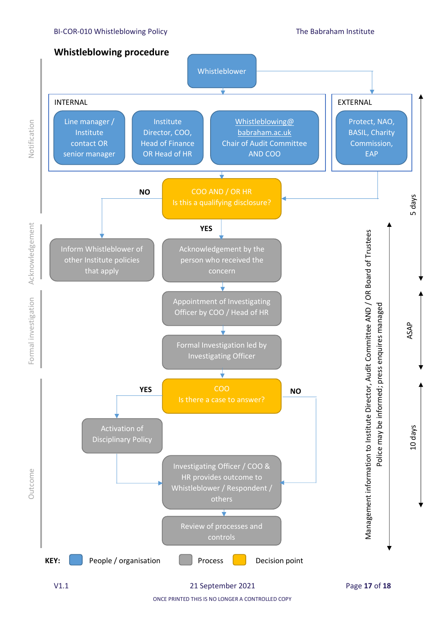#### BI-COR-010 Whistleblowing Policy The Babraham Institute

Notification



**Outcome** 

**Outcome** 

ONCE PRINTED THIS IS NO LONGER A CONTROLLED COPY